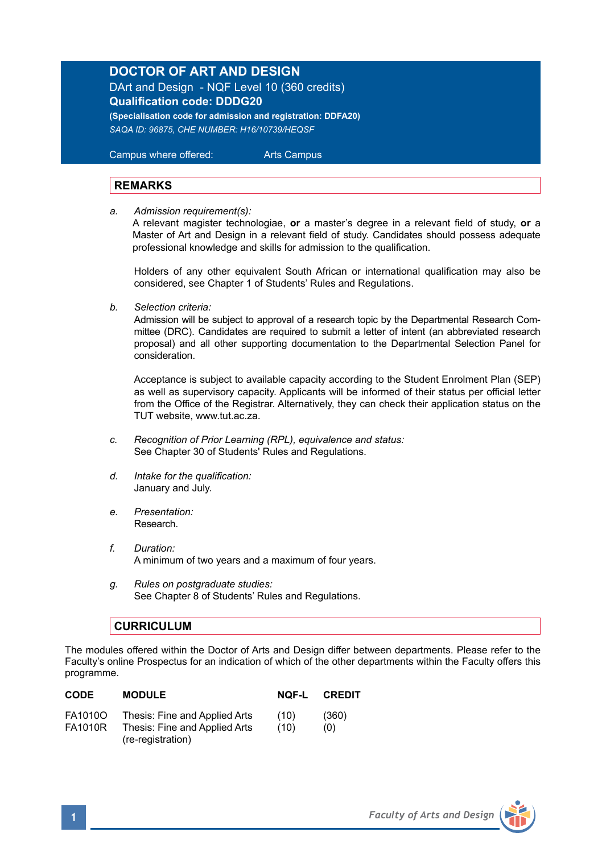## **DOCTOR OF ART AND DESIGN**

DArt and Design - NQF Level 10 (360 credits) **Qualification code: DDDG20 (Specialisation code for admission and registration: DDFA20)**

*SAQA ID: 96875, CHE NUMBER: H16/10739/HEQSF*

 Campus where offered: Arts Campus

## **REMARKS**

*a. Admission requirement(s):*

A relevant magister technologiae, **or** a master's degree in a relevant field of study, **or** a Master of Art and Design in a relevant field of study. Candidates should possess adequate professional knowledge and skills for admission to the qualification.

Holders of any other equivalent South African or international qualification may also be considered, see Chapter 1 of Students' Rules and Regulations.

*b. Selection criteria:*

Admission will be subject to approval of a research topic by the Departmental Research Committee (DRC). Candidates are required to submit a letter of intent (an abbreviated research proposal) and all other supporting documentation to the Departmental Selection Panel for consideration.

Acceptance is subject to available capacity according to the Student Enrolment Plan (SEP) as well as supervisory capacity. Applicants will be informed of their status per official letter from the Office of the Registrar. Alternatively, they can check their application status on the TUT website, www.tut.ac.za.

- *c. Recognition of Prior Learning (RPL), equivalence and status:* See Chapter 30 of Students' Rules and Regulations.
- *d. Intake for the qualification:* January and July.
- *e. Presentation:*  Research.
- *f. Duration:* A minimum of two years and a maximum of four years.
- *g. Rules on postgraduate studies:* See Chapter 8 of Students' Rules and Regulations.

## **CURRICULUM**

The modules offered within the Doctor of Arts and Design differ between departments. Please refer to the Faculty's online Prospectus for an indication of which of the other departments within the Faculty offers this programme.

| <b>CODE</b>               | <b>MODULE</b>                                                  | NOF-L        | <b>CREDIT</b> |
|---------------------------|----------------------------------------------------------------|--------------|---------------|
| FA1010O<br><b>FA1010R</b> | Thesis: Fine and Applied Arts<br>Thesis: Fine and Applied Arts | (10)<br>(10) | (360)<br>(0)  |
|                           | (re-registration)                                              |              |               |